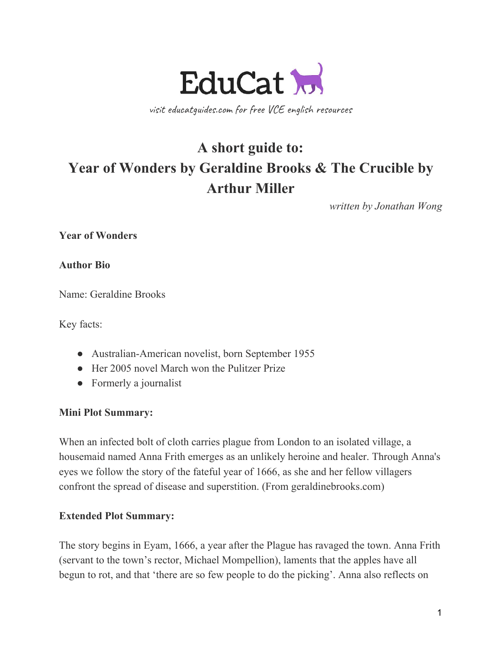

visit educatguides.com for free VCE english resources

# **A short guide to: Year of Wonders by Geraldine Brooks & The Crucible by Arthur Miller**

*written by Jonathan Wong*

**Year of Wonders**

**Author Bio**

Name: Geraldine Brooks

Key facts:

- Australian-American novelist, born September 1955
- Her 2005 novel March won the Pulitzer Prize
- Formerly a journalist

#### **Mini Plot Summary:**

When an infected bolt of cloth carries plague from London to an isolated village, a housemaid named Anna Frith emerges as an unlikely heroine and healer. Through Anna's eyes we follow the story of the fateful year of 1666, as she and her fellow villagers confront the spread of disease and superstition. (From geraldinebrooks.com)

#### **Extended Plot Summary:**

The story begins in Eyam, 1666, a year after the Plague has ravaged the town. Anna Frith (servant to the town's rector, Michael Mompellion), laments that the apples have all begun to rot, and that 'there are so few people to do the picking'. Anna also reflects on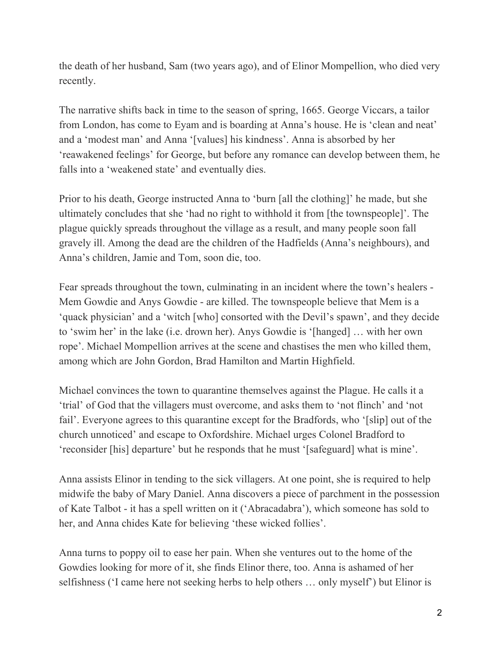the death of her husband, Sam (two years ago), and of Elinor Mompellion, who died very recently.

The narrative shifts back in time to the season of spring, 1665. George Viccars, a tailor from London, has come to Eyam and is boarding at Anna's house. He is 'clean and neat' and a 'modest man' and Anna '[values] his kindness'. Anna is absorbed by her 'reawakened feelings' for George, but before any romance can develop between them, he falls into a 'weakened state' and eventually dies.

Prior to his death, George instructed Anna to 'burn [all the clothing]' he made, but she ultimately concludes that she 'had no right to withhold it from [the townspeople]'. The plague quickly spreads throughout the village as a result, and many people soon fall gravely ill. Among the dead are the children of the Hadfields (Anna's neighbours), and Anna's children, Jamie and Tom, soon die, too.

Fear spreads throughout the town, culminating in an incident where the town's healers - Mem Gowdie and Anys Gowdie - are killed. The townspeople believe that Mem is a 'quack physician' and a 'witch [who] consorted with the Devil's spawn', and they decide to 'swim her' in the lake (i.e. drown her). Anys Gowdie is '[hanged] … with her own rope'. Michael Mompellion arrives at the scene and chastises the men who killed them, among which are John Gordon, Brad Hamilton and Martin Highfield.

Michael convinces the town to quarantine themselves against the Plague. He calls it a 'trial' of God that the villagers must overcome, and asks them to 'not flinch' and 'not fail'. Everyone agrees to this quarantine except for the Bradfords, who '[slip] out of the church unnoticed' and escape to Oxfordshire. Michael urges Colonel Bradford to 'reconsider [his] departure' but he responds that he must '[safeguard] what is mine'.

Anna assists Elinor in tending to the sick villagers. At one point, she is required to help midwife the baby of Mary Daniel. Anna discovers a piece of parchment in the possession of Kate Talbot - it has a spell written on it ('Abracadabra'), which someone has sold to her, and Anna chides Kate for believing 'these wicked follies'.

Anna turns to poppy oil to ease her pain. When she ventures out to the home of the Gowdies looking for more of it, she finds Elinor there, too. Anna is ashamed of her selfishness ('I came here not seeking herbs to help others … only myself') but Elinor is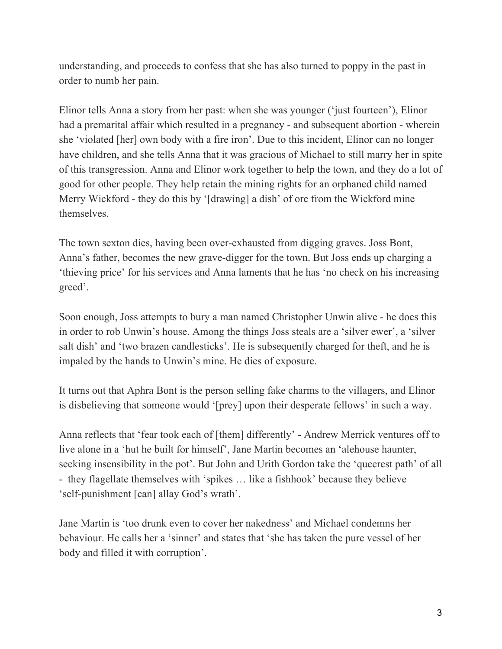understanding, and proceeds to confess that she has also turned to poppy in the past in order to numb her pain.

Elinor tells Anna a story from her past: when she was younger ('just fourteen'), Elinor had a premarital affair which resulted in a pregnancy - and subsequent abortion - wherein she 'violated [her] own body with a fire iron'. Due to this incident, Elinor can no longer have children, and she tells Anna that it was gracious of Michael to still marry her in spite of this transgression. Anna and Elinor work together to help the town, and they do a lot of good for other people. They help retain the mining rights for an orphaned child named Merry Wickford - they do this by '[drawing] a dish' of ore from the Wickford mine themselves.

The town sexton dies, having been over-exhausted from digging graves. Joss Bont, Anna's father, becomes the new grave-digger for the town. But Joss ends up charging a 'thieving price' for his services and Anna laments that he has 'no check on his increasing greed'.

Soon enough, Joss attempts to bury a man named Christopher Unwin alive - he does this in order to rob Unwin's house. Among the things Joss steals are a 'silver ewer', a 'silver salt dish' and 'two brazen candlesticks'. He is subsequently charged for theft, and he is impaled by the hands to Unwin's mine. He dies of exposure.

It turns out that Aphra Bont is the person selling fake charms to the villagers, and Elinor is disbelieving that someone would '[prey] upon their desperate fellows' in such a way.

Anna reflects that 'fear took each of [them] differently' - Andrew Merrick ventures off to live alone in a 'hut he built for himself', Jane Martin becomes an 'alehouse haunter, seeking insensibility in the pot'. But John and Urith Gordon take the 'queerest path' of all - they flagellate themselves with 'spikes … like a fishhook' because they believe 'self-punishment [can] allay God's wrath'.

Jane Martin is 'too drunk even to cover her nakedness' and Michael condemns her behaviour. He calls her a 'sinner' and states that 'she has taken the pure vessel of her body and filled it with corruption'.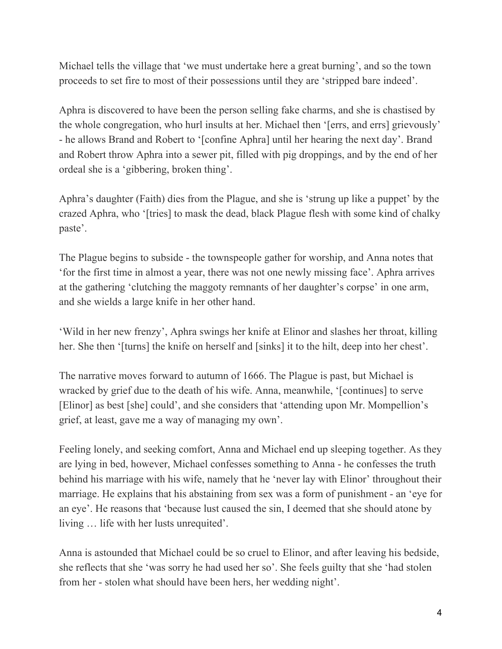Michael tells the village that 'we must undertake here a great burning', and so the town proceeds to set fire to most of their possessions until they are 'stripped bare indeed'.

Aphra is discovered to have been the person selling fake charms, and she is chastised by the whole congregation, who hurl insults at her. Michael then '[errs, and errs] grievously' - he allows Brand and Robert to '[confine Aphra] until her hearing the next day'. Brand and Robert throw Aphra into a sewer pit, filled with pig droppings, and by the end of her ordeal she is a 'gibbering, broken thing'.

Aphra's daughter (Faith) dies from the Plague, and she is 'strung up like a puppet' by the crazed Aphra, who '[tries] to mask the dead, black Plague flesh with some kind of chalky paste'.

The Plague begins to subside - the townspeople gather for worship, and Anna notes that 'for the first time in almost a year, there was not one newly missing face'. Aphra arrives at the gathering 'clutching the maggoty remnants of her daughter's corpse' in one arm, and she wields a large knife in her other hand.

'Wild in her new frenzy', Aphra swings her knife at Elinor and slashes her throat, killing her. She then '[turns] the knife on herself and [sinks] it to the hilt, deep into her chest'.

The narrative moves forward to autumn of 1666. The Plague is past, but Michael is wracked by grief due to the death of his wife. Anna, meanwhile, '[continues] to serve [Elinor] as best [she] could', and she considers that 'attending upon Mr. Mompellion's grief, at least, gave me a way of managing my own'.

Feeling lonely, and seeking comfort, Anna and Michael end up sleeping together. As they are lying in bed, however, Michael confesses something to Anna - he confesses the truth behind his marriage with his wife, namely that he 'never lay with Elinor' throughout their marriage. He explains that his abstaining from sex was a form of punishment - an 'eye for an eye'. He reasons that 'because lust caused the sin, I deemed that she should atone by living … life with her lusts unrequited'.

Anna is astounded that Michael could be so cruel to Elinor, and after leaving his bedside, she reflects that she 'was sorry he had used her so'. She feels guilty that she 'had stolen from her - stolen what should have been hers, her wedding night'.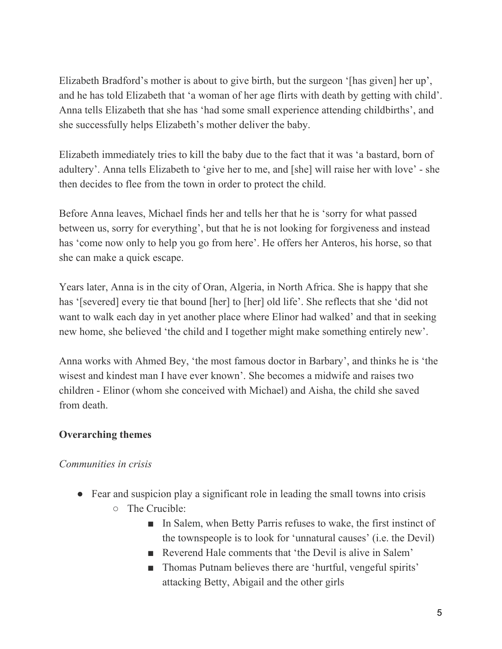Elizabeth Bradford's mother is about to give birth, but the surgeon '[has given] her up', and he has told Elizabeth that 'a woman of her age flirts with death by getting with child'. Anna tells Elizabeth that she has 'had some small experience attending childbirths', and she successfully helps Elizabeth's mother deliver the baby.

Elizabeth immediately tries to kill the baby due to the fact that it was 'a bastard, born of adultery'. Anna tells Elizabeth to 'give her to me, and [she] will raise her with love' - she then decides to flee from the town in order to protect the child.

Before Anna leaves, Michael finds her and tells her that he is 'sorry for what passed between us, sorry for everything', but that he is not looking for forgiveness and instead has 'come now only to help you go from here'. He offers her Anteros, his horse, so that she can make a quick escape.

Years later, Anna is in the city of Oran, Algeria, in North Africa. She is happy that she has '[severed] every tie that bound [her] to [her] old life'. She reflects that she 'did not want to walk each day in yet another place where Elinor had walked' and that in seeking new home, she believed 'the child and I together might make something entirely new'.

Anna works with Ahmed Bey, 'the most famous doctor in Barbary', and thinks he is 'the wisest and kindest man I have ever known'. She becomes a midwife and raises two children - Elinor (whom she conceived with Michael) and Aisha, the child she saved from death.

# **Overarching themes**

## *Communities in crisis*

- Fear and suspicion play a significant role in leading the small towns into crisis
	- The Crucible:
		- In Salem, when Betty Parris refuses to wake, the first instinct of the townspeople is to look for 'unnatural causes' (i.e. the Devil)
		- Reverend Hale comments that 'the Devil is alive in Salem'
		- Thomas Putnam believes there are 'hurtful, vengeful spirits' attacking Betty, Abigail and the other girls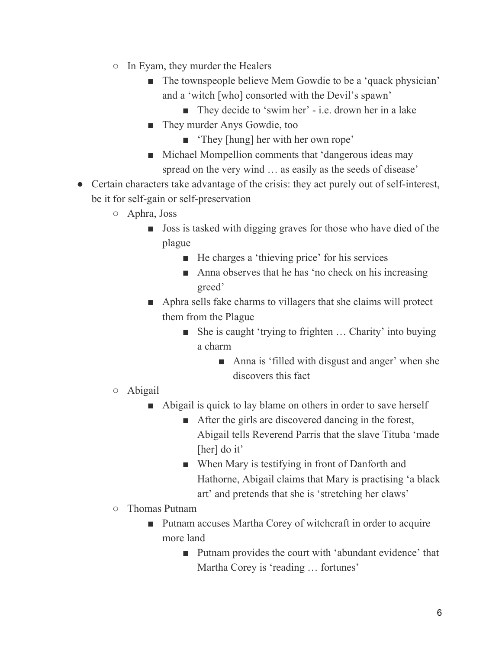- In Eyam, they murder the Healers
	- The townspeople believe Mem Gowdie to be a 'quack physician' and a 'witch [who] consorted with the Devil's spawn'
		- They decide to 'swim her' i.e. drown her in a lake
	- They murder Anys Gowdie, too
		- 'They [hung] her with her own rope'
	- Michael Mompellion comments that 'dangerous ideas may spread on the very wind … as easily as the seeds of disease'
- Certain characters take advantage of the crisis: they act purely out of self-interest, be it for self-gain or self-preservation
	- Aphra, Joss
		- Joss is tasked with digging graves for those who have died of the plague
			- He charges a 'thieving price' for his services
			- Anna observes that he has 'no check on his increasing greed'
		- Aphra sells fake charms to villagers that she claims will protect them from the Plague
			- She is caught 'trying to frighten ... Charity' into buying a charm
				- Anna is 'filled with disgust and anger' when she discovers this fact
	- Abigail
		- Abigail is quick to lay blame on others in order to save herself
			- After the girls are discovered dancing in the forest, Abigail tells Reverend Parris that the slave Tituba 'made [her] do it'
			- When Mary is testifying in front of Danforth and Hathorne, Abigail claims that Mary is practising 'a black art' and pretends that she is 'stretching her claws'
	- Thomas Putnam
		- Putnam accuses Martha Corey of witchcraft in order to acquire more land
			- Putnam provides the court with 'abundant evidence' that Martha Corey is 'reading … fortunes'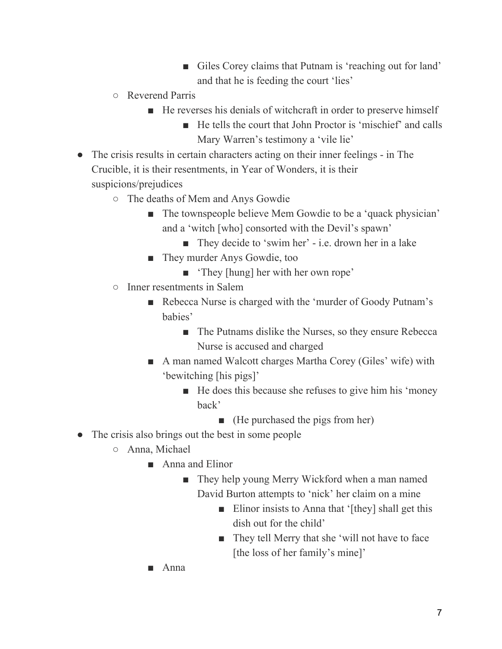- Giles Corey claims that Putnam is 'reaching out for land' and that he is feeding the court 'lies'
- Reverend Parris
	- He reverses his denials of witchcraft in order to preserve himself
		- He tells the court that John Proctor is 'mischief' and calls Mary Warren's testimony a 'vile lie'
- The crisis results in certain characters acting on their inner feelings in The Crucible, it is their resentments, in Year of Wonders, it is their suspicions/prejudices
	- The deaths of Mem and Anys Gowdie
		- The townspeople believe Mem Gowdie to be a 'quack physician' and a 'witch [who] consorted with the Devil's spawn'
			- They decide to 'swim her' i.e. drown her in a lake
		- They murder Anys Gowdie, too
			- 'They [hung] her with her own rope'
	- Inner resentments in Salem
		- Rebecca Nurse is charged with the 'murder of Goody Putnam's babies'
			- The Putnams dislike the Nurses, so they ensure Rebecca Nurse is accused and charged
		- A man named Walcott charges Martha Corey (Giles' wife) with 'bewitching [his pigs]'
			- He does this because she refuses to give him his 'money back'
				- (He purchased the pigs from her)
- The crisis also brings out the best in some people
	- Anna, Michael
		- Anna and Elinor
			- They help young Merry Wickford when a man named David Burton attempts to 'nick' her claim on a mine
				- Elinor insists to Anna that '[they] shall get this dish out for the child'
				- They tell Merry that she 'will not have to face [the loss of her family's mine]'
		- Anna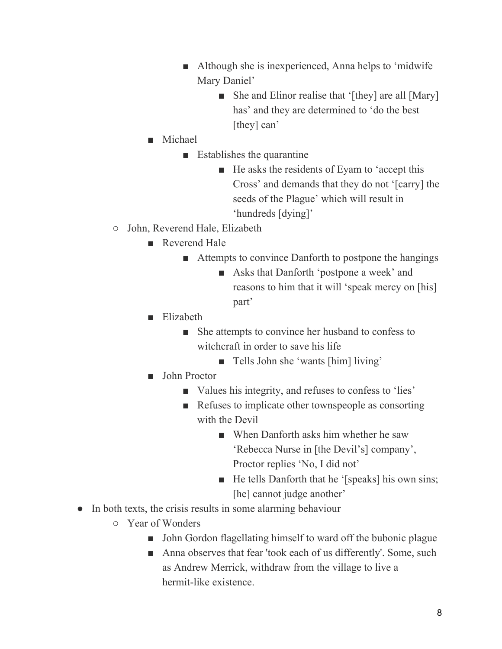- Although she is inexperienced, Anna helps to 'midwife Mary Daniel'
	- She and Elinor realise that '[they] are all [Mary] has' and they are determined to 'do the best [they] can'
- Michael
	- $\blacksquare$  Establishes the quarantine
		- He asks the residents of Eyam to 'accept this Cross' and demands that they do not '[carry] the seeds of the Plague' which will result in 'hundreds [dying]'
- John, Reverend Hale, Elizabeth
	- Reverend Hale
		- Attempts to convince Danforth to postpone the hangings
			- Asks that Danforth 'postpone a week' and reasons to him that it will 'speak mercy on [his] part'
	- Elizabeth
		- She attempts to convince her husband to confess to witchcraft in order to save his life
			- Tells John she 'wants [him] living'
	- John Proctor
		- Values his integrity, and refuses to confess to 'lies'
		- Refuses to implicate other townspeople as consorting with the Devil
			- When Danforth asks him whether he saw 'Rebecca Nurse in [the Devil's] company', Proctor replies 'No, I did not'
			- He tells Danforth that he '[speaks] his own sins; [he] cannot judge another'
- In both texts, the crisis results in some alarming behaviour
	- Year of Wonders
		- John Gordon flagellating himself to ward off the bubonic plague
		- Anna observes that fear 'took each of us differently'. Some, such as Andrew Merrick, withdraw from the village to live a hermit-like existence.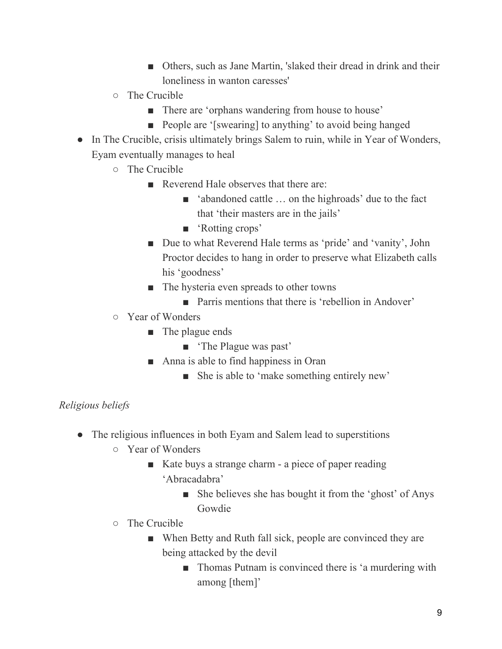- Others, such as Jane Martin, 'slaked their dread in drink and their loneliness in wanton caresses'
- The Crucible
	- There are 'orphans wandering from house to house'
	- People are '[swearing] to anything' to avoid being hanged
- In The Crucible, crisis ultimately brings Salem to ruin, while in Year of Wonders, Eyam eventually manages to heal
	- The Crucible
		- Reverend Hale observes that there are:
			- 'abandoned cattle ... on the highroads' due to the fact that 'their masters are in the jails'
			- 'Rotting crops'
		- Due to what Reverend Hale terms as 'pride' and 'vanity', John Proctor decides to hang in order to preserve what Elizabeth calls his 'goodness'
		- The hysteria even spreads to other towns
			- Parris mentions that there is 'rebellion in Andover'
	- Year of Wonders
		- The plague ends
			- 'The Plague was past'
		- Anna is able to find happiness in Oran
			- She is able to 'make something entirely new'

# *Religious beliefs*

- The religious influences in both Eyam and Salem lead to superstitions
	- Year of Wonders
		- Kate buys a strange charm a piece of paper reading 'Abracadabra'
			- She believes she has bought it from the 'ghost' of Anys Gowdie
	- The Crucible
		- When Betty and Ruth fall sick, people are convinced they are being attacked by the devil
			- Thomas Putnam is convinced there is 'a murdering with among [them]'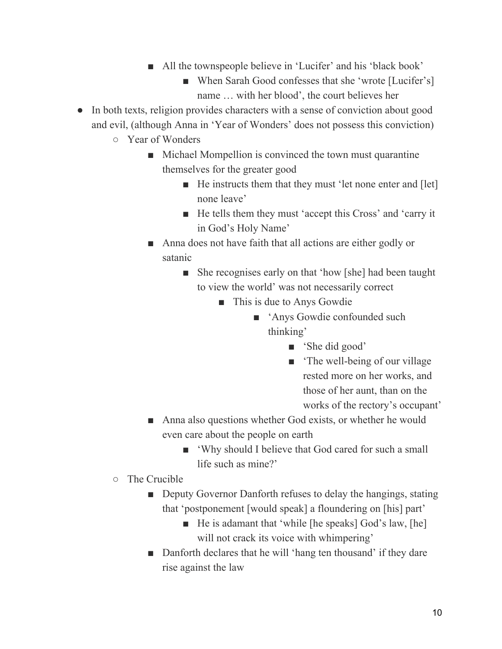- All the townspeople believe in 'Lucifer' and his 'black book'
	- When Sarah Good confesses that she 'wrote [Lucifer's] name … with her blood', the court believes her
- In both texts, religion provides characters with a sense of conviction about good and evil, (although Anna in 'Year of Wonders' does not possess this conviction)
	- Year of Wonders
		- Michael Mompellion is convinced the town must quarantine themselves for the greater good
			- He instructs them that they must 'let none enter and [let] none leave'
			- He tells them they must 'accept this Cross' and 'carry it in God's Holy Name'
		- Anna does not have faith that all actions are either godly or satanic
			- She recognises early on that 'how [she] had been taught to view the world' was not necessarily correct
				- This is due to Anys Gowdie
					- 'Anys Gowdie confounded such thinking'
						- 'She did good'
						- The well-being of our village rested more on her works, and those of her aunt, than on the works of the rectory's occupant'
		- Anna also questions whether God exists, or whether he would even care about the people on earth
			- 'Why should I believe that God cared for such a small life such as mine?'
	- The Crucible
		- Deputy Governor Danforth refuses to delay the hangings, stating that 'postponement [would speak] a floundering on [his] part'
			- He is adamant that 'while [he speaks] God's law, [he] will not crack its voice with whimpering'
		- Danforth declares that he will 'hang ten thousand' if they dare rise against the law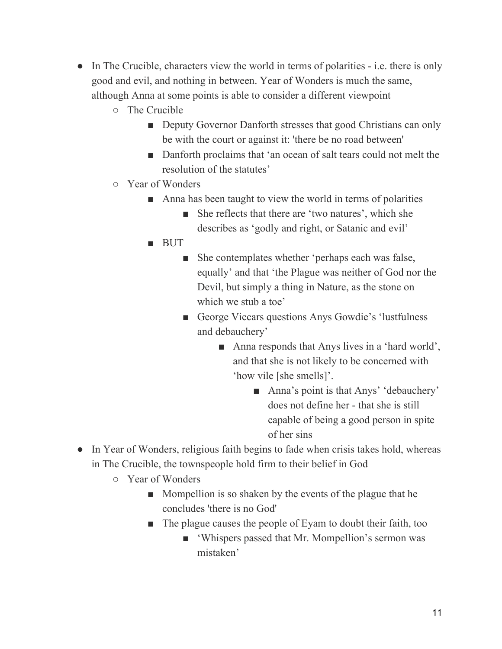- In The Crucible, characters view the world in terms of polarities i.e. there is only good and evil, and nothing in between. Year of Wonders is much the same, although Anna at some points is able to consider a different viewpoint
	- The Crucible
		- Deputy Governor Danforth stresses that good Christians can only be with the court or against it: 'there be no road between'
		- Danforth proclaims that 'an ocean of salt tears could not melt the resolution of the statutes'
	- Year of Wonders
		- Anna has been taught to view the world in terms of polarities
			- She reflects that there are 'two natures', which she describes as 'godly and right, or Satanic and evil'
		- BUT
			- She contemplates whether 'perhaps each was false, equally' and that 'the Plague was neither of God nor the Devil, but simply a thing in Nature, as the stone on which we stub a toe'
			- George Viccars questions Anys Gowdie's 'lustfulness and debauchery'
				- Anna responds that Anys lives in a 'hard world', and that she is not likely to be concerned with 'how vile [she smells]'.
					- Anna's point is that Anys' 'debauchery' does not define her - that she is still capable of being a good person in spite of her sins
- In Year of Wonders, religious faith begins to fade when crisis takes hold, whereas in The Crucible, the townspeople hold firm to their belief in God
	- Year of Wonders
		- Mompellion is so shaken by the events of the plague that he concludes 'there is no God'
		- The plague causes the people of Eyam to doubt their faith, too
			- 'Whispers passed that Mr. Mompellion's sermon was mistaken'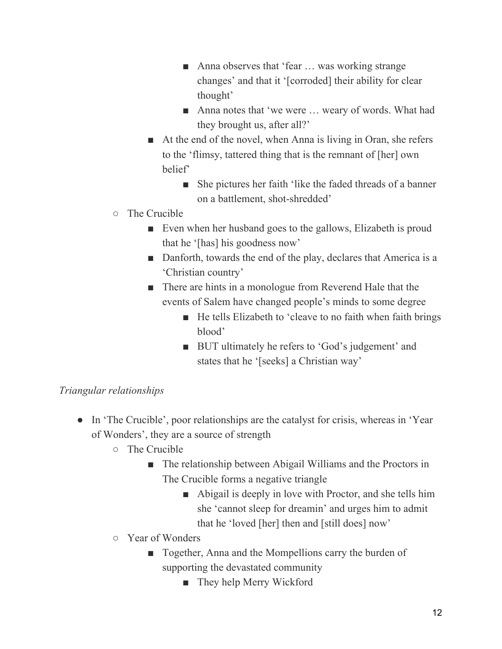- Anna observes that 'fear ... was working strange changes' and that it '[corroded] their ability for clear thought'
- Anna notes that 'we were ... weary of words. What had they brought us, after all?'
- At the end of the novel, when Anna is living in Oran, she refers to the 'flimsy, tattered thing that is the remnant of [her] own belief'
	- She pictures her faith 'like the faded threads of a banner on a battlement, shot-shredded'
- The Crucible
	- Even when her husband goes to the gallows, Elizabeth is proud that he '[has] his goodness now'
	- Danforth, towards the end of the play, declares that America is a 'Christian country'
	- There are hints in a monologue from Reverend Hale that the events of Salem have changed people's minds to some degree
		- He tells Elizabeth to 'cleave to no faith when faith brings blood'
		- BUT ultimately he refers to 'God's judgement' and states that he '[seeks] a Christian way'

## *Triangular relationships*

- In 'The Crucible', poor relationships are the catalyst for crisis, whereas in 'Year of Wonders', they are a source of strength
	- The Crucible
		- The relationship between Abigail Williams and the Proctors in The Crucible forms a negative triangle
			- Abigail is deeply in love with Proctor, and she tells him she 'cannot sleep for dreamin' and urges him to admit that he 'loved [her] then and [still does] now'
	- Year of Wonders
		- Together, Anna and the Mompellions carry the burden of supporting the devastated community
			- They help Merry Wickford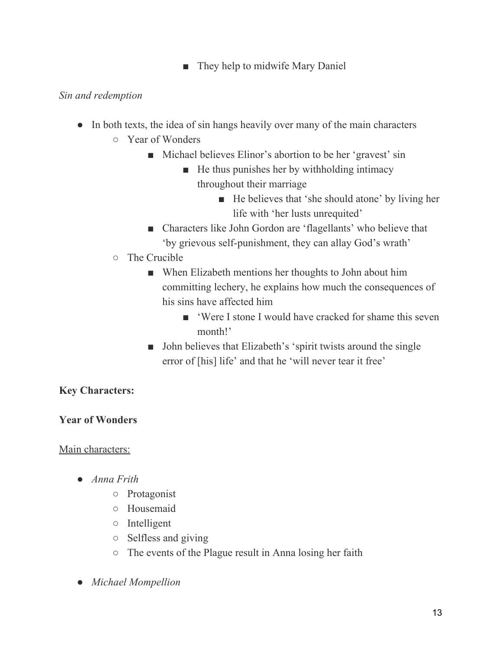■ They help to midwife Mary Daniel

### *Sin and redemption*

- In both texts, the idea of sin hangs heavily over many of the main characters
	- Year of Wonders
		- Michael believes Elinor's abortion to be her 'gravest' sin
			- He thus punishes her by withholding intimacy throughout their marriage
				- He believes that 'she should atone' by living her life with 'her lusts unrequited'
		- Characters like John Gordon are 'flagellants' who believe that 'by grievous self-punishment, they can allay God's wrath'
	- The Crucible
		- When Elizabeth mentions her thoughts to John about him committing lechery, he explains how much the consequences of his sins have affected him
			- 'Were I stone I would have cracked for shame this seven month!'
		- John believes that Elizabeth's 'spirit twists around the single error of [his] life' and that he 'will never tear it free'

# **Key Characters:**

## **Year of Wonders**

#### Main characters:

- *Anna Frith*
	- Protagonist
	- Housemaid
	- Intelligent
	- Selfless and giving
	- The events of the Plague result in Anna losing her faith
- *Michael Mompellion*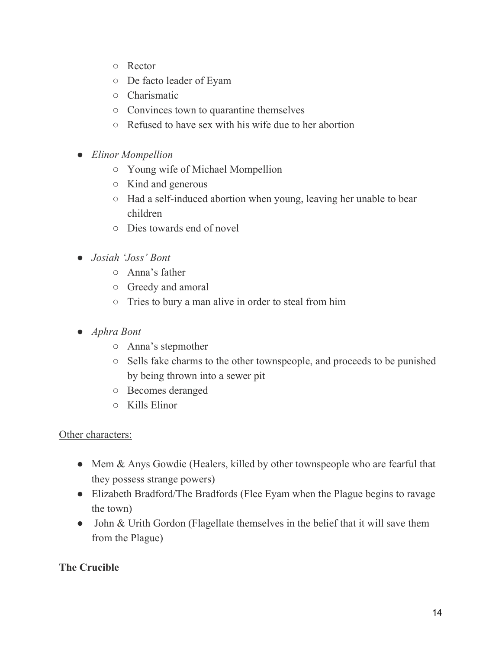- Rector
- De facto leader of Eyam
- Charismatic
- Convinces town to quarantine themselves
- Refused to have sex with his wife due to her abortion
- *Elinor Mompellion*
	- Young wife of Michael Mompellion
	- Kind and generous
	- Had a self-induced abortion when young, leaving her unable to bear children
	- Dies towards end of novel
- *● Josiah 'Joss' Bont*
	- *○* Anna's father
	- *○* Greedy and amoral
	- *○* Tries to bury a man alive in order to steal from him
- *Aphra Bont*
	- Anna's stepmother
	- Sells fake charms to the other townspeople, and proceeds to be punished by being thrown into a sewer pit
	- Becomes deranged
	- Kills Elinor

#### Other characters:

- Mem & Anys Gowdie (Healers, killed by other townspeople who are fearful that they possess strange powers)
- Elizabeth Bradford/The Bradfords (Flee Eyam when the Plague begins to ravage the town)
- John & Urith Gordon (Flagellate themselves in the belief that it will save them from the Plague)

## **The Crucible**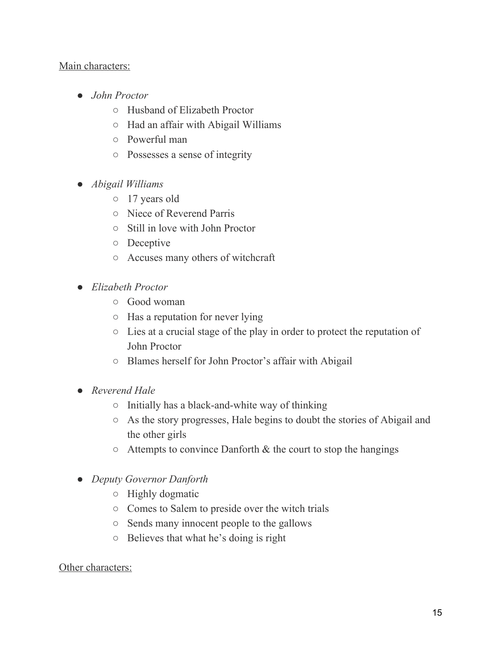#### Main characters:

- *John Proctor*
	- Husband of Elizabeth Proctor
	- Had an affair with Abigail Williams
	- Powerful man
	- Possesses a sense of integrity
- *Abigail Williams*
	- 17 years old
	- Niece of Reverend Parris
	- Still in love with John Proctor
	- Deceptive
	- Accuses many others of witchcraft
- *Elizabeth Proctor*
	- Good woman
	- Has a reputation for never lying
	- Lies at a crucial stage of the play in order to protect the reputation of John Proctor
	- Blames herself for John Proctor's affair with Abigail
- *Reverend Hale*
	- Initially has a black-and-white way of thinking
	- As the story progresses, Hale begins to doubt the stories of Abigail and the other girls
	- $\circ$  Attempts to convince Danforth & the court to stop the hangings
- *Deputy Governor Danforth*
	- Highly dogmatic
	- Comes to Salem to preside over the witch trials
	- Sends many innocent people to the gallows
	- Believes that what he's doing is right

#### Other characters: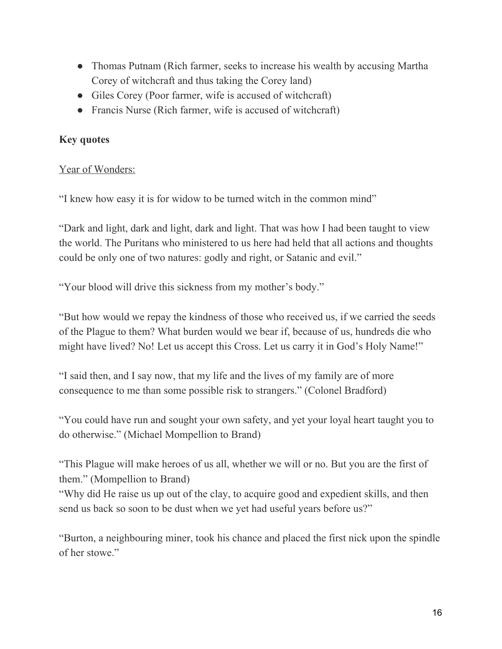- Thomas Putnam (Rich farmer, seeks to increase his wealth by accusing Martha Corey of witchcraft and thus taking the Corey land)
- Giles Corey (Poor farmer, wife is accused of witchcraft)
- Francis Nurse (Rich farmer, wife is accused of witchcraft)

## **Key quotes**

## Year of Wonders:

"I knew how easy it is for widow to be turned witch in the common mind"

"Dark and light, dark and light, dark and light. That was how I had been taught to view the world. The Puritans who ministered to us here had held that all actions and thoughts could be only one of two natures: godly and right, or Satanic and evil."

"Your blood will drive this sickness from my mother's body."

"But how would we repay the kindness of those who received us, if we carried the seeds of the Plague to them? What burden would we bear if, because of us, hundreds die who might have lived? No! Let us accept this Cross. Let us carry it in God's Holy Name!"

"I said then, and I say now, that my life and the lives of my family are of more consequence to me than some possible risk to strangers." (Colonel Bradford)

"You could have run and sought your own safety, and yet your loyal heart taught you to do otherwise." (Michael Mompellion to Brand)

"This Plague will make heroes of us all, whether we will or no. But you are the first of them." (Mompellion to Brand)

"Why did He raise us up out of the clay, to acquire good and expedient skills, and then send us back so soon to be dust when we yet had useful years before us?"

"Burton, a neighbouring miner, took his chance and placed the first nick upon the spindle of her stowe."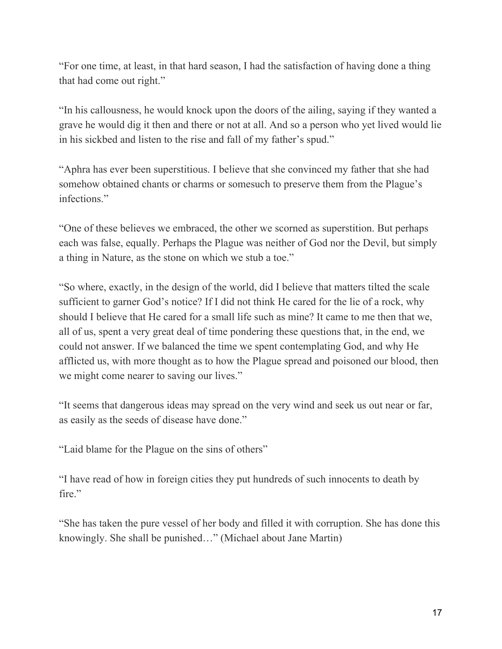"For one time, at least, in that hard season, I had the satisfaction of having done a thing that had come out right."

"In his callousness, he would knock upon the doors of the ailing, saying if they wanted a grave he would dig it then and there or not at all. And so a person who yet lived would lie in his sickbed and listen to the rise and fall of my father's spud."

"Aphra has ever been superstitious. I believe that she convinced my father that she had somehow obtained chants or charms or somesuch to preserve them from the Plague's infections."

"One of these believes we embraced, the other we scorned as superstition. But perhaps each was false, equally. Perhaps the Plague was neither of God nor the Devil, but simply a thing in Nature, as the stone on which we stub a toe."

"So where, exactly, in the design of the world, did I believe that matters tilted the scale sufficient to garner God's notice? If I did not think He cared for the lie of a rock, why should I believe that He cared for a small life such as mine? It came to me then that we, all of us, spent a very great deal of time pondering these questions that, in the end, we could not answer. If we balanced the time we spent contemplating God, and why He afflicted us, with more thought as to how the Plague spread and poisoned our blood, then we might come nearer to saving our lives."

"It seems that dangerous ideas may spread on the very wind and seek us out near or far, as easily as the seeds of disease have done."

"Laid blame for the Plague on the sins of others"

"I have read of how in foreign cities they put hundreds of such innocents to death by fire."

"She has taken the pure vessel of her body and filled it with corruption. She has done this knowingly. She shall be punished…" (Michael about Jane Martin)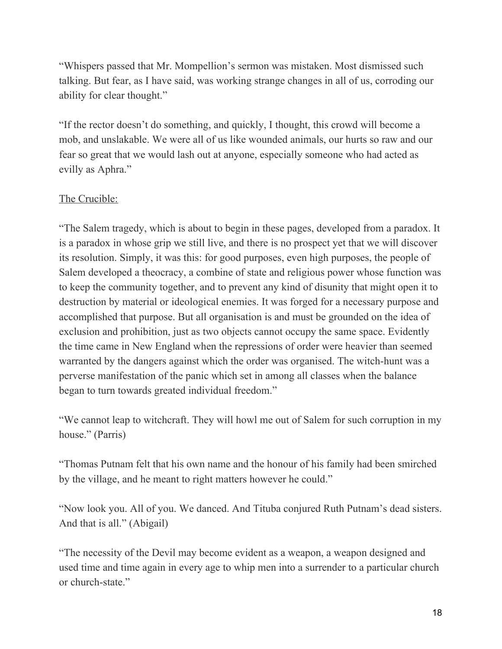"Whispers passed that Mr. Mompellion's sermon was mistaken. Most dismissed such talking. But fear, as I have said, was working strange changes in all of us, corroding our ability for clear thought."

"If the rector doesn't do something, and quickly, I thought, this crowd will become a mob, and unslakable. We were all of us like wounded animals, our hurts so raw and our fear so great that we would lash out at anyone, especially someone who had acted as evilly as Aphra."

## The Crucible:

"The Salem tragedy, which is about to begin in these pages, developed from a paradox. It is a paradox in whose grip we still live, and there is no prospect yet that we will discover its resolution. Simply, it was this: for good purposes, even high purposes, the people of Salem developed a theocracy, a combine of state and religious power whose function was to keep the community together, and to prevent any kind of disunity that might open it to destruction by material or ideological enemies. It was forged for a necessary purpose and accomplished that purpose. But all organisation is and must be grounded on the idea of exclusion and prohibition, just as two objects cannot occupy the same space. Evidently the time came in New England when the repressions of order were heavier than seemed warranted by the dangers against which the order was organised. The witch-hunt was a perverse manifestation of the panic which set in among all classes when the balance began to turn towards greated individual freedom."

"We cannot leap to witchcraft. They will howl me out of Salem for such corruption in my house." (Parris)

"Thomas Putnam felt that his own name and the honour of his family had been smirched by the village, and he meant to right matters however he could."

"Now look you. All of you. We danced. And Tituba conjured Ruth Putnam's dead sisters. And that is all." (Abigail)

"The necessity of the Devil may become evident as a weapon, a weapon designed and used time and time again in every age to whip men into a surrender to a particular church or church-state."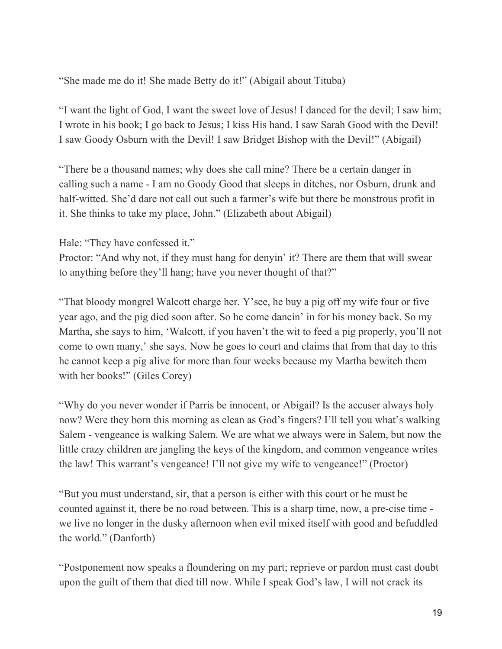"She made me do it! She made Betty do it!" (Abigail about Tituba)

"I want the light of God, I want the sweet love of Jesus! I danced for the devil; I saw him; I wrote in his book; I go back to Jesus; I kiss His hand. I saw Sarah Good with the Devil! I saw Goody Osburn with the Devil! I saw Bridget Bishop with the Devil!" (Abigail)

"There be a thousand names; why does she call mine? There be a certain danger in calling such a name - I am no Goody Good that sleeps in ditches, nor Osburn, drunk and half-witted. She'd dare not call out such a farmer's wife but there be monstrous profit in it. She thinks to take my place, John." (Elizabeth about Abigail)

Hale: "They have confessed it."

Proctor: "And why not, if they must hang for denyin' it? There are them that will swear to anything before they'll hang; have you never thought of that?"

"That bloody mongrel Walcott charge her. Y'see, he buy a pig off my wife four or five year ago, and the pig died soon after. So he come dancin' in for his money back. So my Martha, she says to him, 'Walcott, if you haven't the wit to feed a pig properly, you'll not come to own many,' she says. Now he goes to court and claims that from that day to this he cannot keep a pig alive for more than four weeks because my Martha bewitch them with her books!" (Giles Corey)

"Why do you never wonder if Parris be innocent, or Abigail? Is the accuser always holy now? Were they born this morning as clean as God's fingers? I'll tell you what's walking Salem - vengeance is walking Salem. We are what we always were in Salem, but now the little crazy children are jangling the keys of the kingdom, and common vengeance writes the law! This warrant's vengeance! I'll not give my wife to vengeance!" (Proctor)

"But you must understand, sir, that a person is either with this court or he must be counted against it, there be no road between. This is a sharp time, now, a pre-cise time we live no longer in the dusky afternoon when evil mixed itself with good and befuddled the world." (Danforth)

"Postponement now speaks a floundering on my part; reprieve or pardon must cast doubt upon the guilt of them that died till now. While I speak God's law, I will not crack its